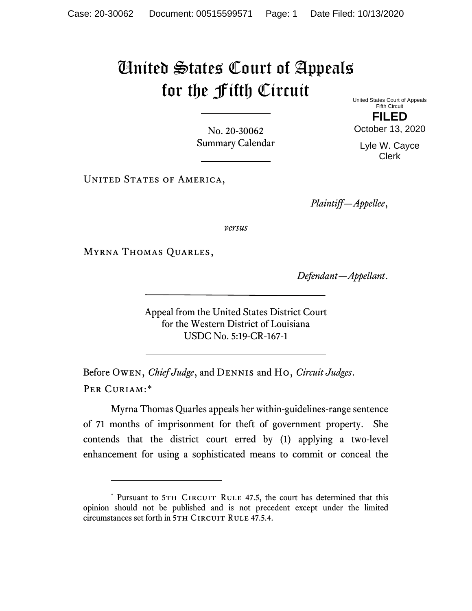## United States Court of Appeals for the Fifth Circuit

No. 20-30062 Summary Calendar

UNITED STATES OF AMERICA,

*Plaintiff—Appellee*,

*versus*

Myrna Thomas Quarles,

*Defendant—Appellant*.

Appeal from the United States District Court for the Western District of Louisiana USDC No. 5:19-CR-167-1

Before Owen, *Chief Judge*, and Dennis and Ho, *Circuit Judges*. Per Curiam:[\\*](#page-0-0)

Myrna Thomas Quarles appeals her within-guidelines-range sentence of 71 months of imprisonment for theft of government property. She contends that the district court erred by (1) applying a two-level enhancement for using a sophisticated means to commit or conceal the

United States Court of Appeals Fifth Circuit **FILED**

October 13, 2020

Lyle W. Cayce Clerk

<span id="page-0-0"></span><sup>\*</sup> Pursuant to 5TH CIRCUIT RULE 47.5, the court has determined that this opinion should not be published and is not precedent except under the limited circumstances set forth in 5TH CIRCUIT RULE 47.5.4.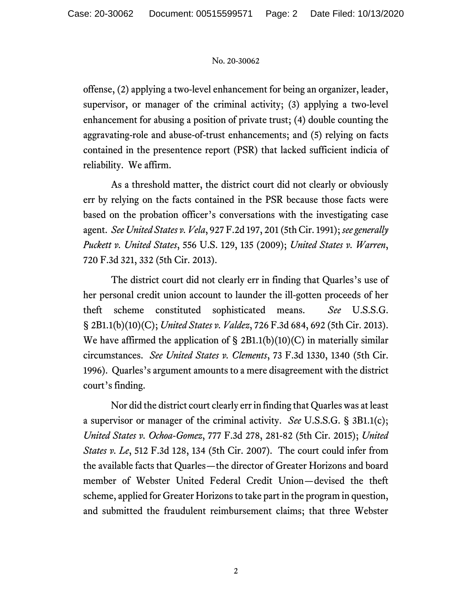## No. 20-30062

offense, (2) applying a two-level enhancement for being an organizer, leader, supervisor, or manager of the criminal activity; (3) applying a two-level enhancement for abusing a position of private trust; (4) double counting the aggravating-role and abuse-of-trust enhancements; and (5) relying on facts contained in the presentence report (PSR) that lacked sufficient indicia of reliability. We affirm.

As a threshold matter, the district court did not clearly or obviously err by relying on the facts contained in the PSR because those facts were based on the probation officer's conversations with the investigating case agent. *See United States v. Vela*, 927 F.2d 197, 201 (5th Cir. 1991); *see generally Puckett v. United States*, 556 U.S. 129, 135 (2009); *United States v. Warren*, 720 F.3d 321, 332 (5th Cir. 2013).

The district court did not clearly err in finding that Quarles's use of her personal credit union account to launder the ill-gotten proceeds of her theft scheme constituted sophisticated means. *See* U.S.S.G. § 2B1.1(b)(10)(C); *United States v. Valdez*, 726 F.3d 684, 692 (5th Cir. 2013). We have affirmed the application of  $\S$  2B1.1(b)(10)(C) in materially similar circumstances. *See United States v. Clements*, 73 F.3d 1330, 1340 (5th Cir. 1996). Quarles's argument amounts to a mere disagreement with the district court's finding.

Nor did the district court clearly err in finding that Quarles was at least a supervisor or manager of the criminal activity. *See* U.S.S.G. § 3B1.1(c); *United States v. Ochoa-Gomez*, 777 F.3d 278, 281-82 (5th Cir. 2015); *United States v. Le*, 512 F.3d 128, 134 (5th Cir. 2007). The court could infer from the available facts that Quarles—the director of Greater Horizons and board member of Webster United Federal Credit Union—devised the theft scheme, applied for Greater Horizons to take part in the program in question, and submitted the fraudulent reimbursement claims; that three Webster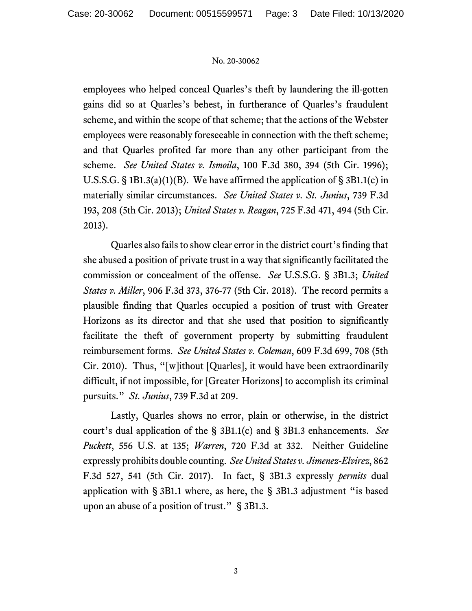## No. 20-30062

employees who helped conceal Quarles's theft by laundering the ill-gotten gains did so at Quarles's behest, in furtherance of Quarles's fraudulent scheme, and within the scope of that scheme; that the actions of the Webster employees were reasonably foreseeable in connection with the theft scheme; and that Quarles profited far more than any other participant from the scheme. *See United States v. Ismoila*, 100 F.3d 380, 394 (5th Cir. 1996); U.S.S.G.  $\S$  1B1.3(a)(1)(B). We have affirmed the application of  $\S$  3B1.1(c) in materially similar circumstances. *See United States v. St. Junius*, 739 F.3d 193, 208 (5th Cir. 2013); *United States v. Reagan*, 725 F.3d 471, 494 (5th Cir. 2013).

Quarles also fails to show clear error in the district court's finding that she abused a position of private trust in a way that significantly facilitated the commission or concealment of the offense. *See* U.S.S.G. § 3B1.3; *United States v. Miller*, 906 F.3d 373, 376-77 (5th Cir. 2018). The record permits a plausible finding that Quarles occupied a position of trust with Greater Horizons as its director and that she used that position to significantly facilitate the theft of government property by submitting fraudulent reimbursement forms. *See United States v. Coleman*, 609 F.3d 699, 708 (5th Cir. 2010). Thus, "[w]ithout [Quarles], it would have been extraordinarily difficult, if not impossible, for [Greater Horizons] to accomplish its criminal pursuits." *St. Junius*, 739 F.3d at 209.

Lastly, Quarles shows no error, plain or otherwise, in the district court's dual application of the § 3B1.1(c) and § 3B1.3 enhancements. *See Puckett*, 556 U.S. at 135; *Warren*, 720 F.3d at 332. Neither Guideline expressly prohibits double counting. *See United States v. Jimenez-Elvirez*, 862 F.3d 527, 541 (5th Cir. 2017). In fact, § 3B1.3 expressly *permits* dual application with § 3B1.1 where, as here, the § 3B1.3 adjustment "is based upon an abuse of a position of trust." § 3B1.3.